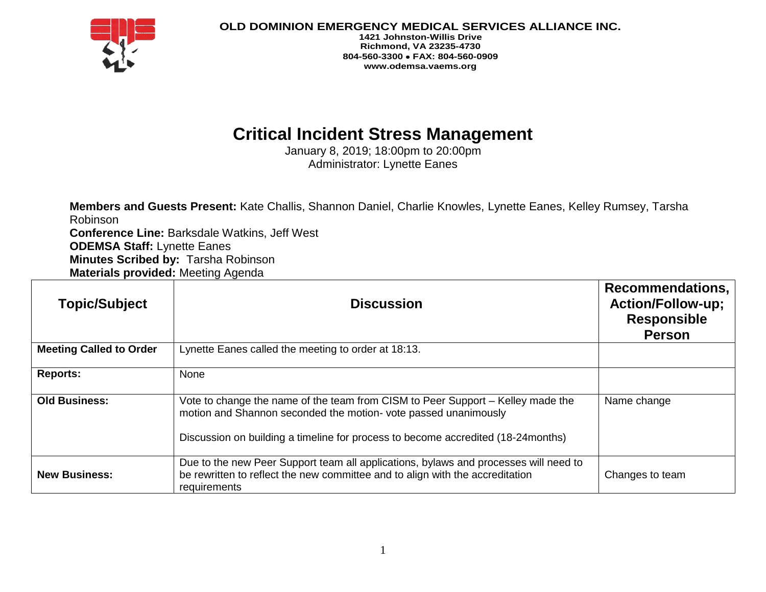

**OLD DOMINION EMERGENCY MEDICAL SERVICES ALLIANCE INC.**

**1421 Johnston-Willis Drive Richmond, VA 23235-4730 804-560-3300 FAX: 804-560-0909 www.odemsa.vaems.org**

## **Critical Incident Stress Management**

January 8, 2019; 18:00pm to 20:00pm Administrator: Lynette Eanes

**Members and Guests Present:** Kate Challis, Shannon Daniel, Charlie Knowles, Lynette Eanes, Kelley Rumsey, Tarsha Robinson **Conference Line:** Barksdale Watkins, Jeff West **ODEMSA Staff:** Lynette Eanes **Minutes Scribed by:** Tarsha Robinson **Materials provided:** Meeting Agenda

| <b>Topic/Subject</b>           | <b>Discussion</b>                                                                                                                                                                                                                     | <b>Recommendations,</b><br><b>Action/Follow-up;</b><br><b>Responsible</b><br><b>Person</b> |
|--------------------------------|---------------------------------------------------------------------------------------------------------------------------------------------------------------------------------------------------------------------------------------|--------------------------------------------------------------------------------------------|
| <b>Meeting Called to Order</b> | Lynette Eanes called the meeting to order at 18:13.                                                                                                                                                                                   |                                                                                            |
| <b>Reports:</b>                | None                                                                                                                                                                                                                                  |                                                                                            |
| <b>Old Business:</b>           | Vote to change the name of the team from CISM to Peer Support – Kelley made the<br>motion and Shannon seconded the motion-vote passed unanimously<br>Discussion on building a timeline for process to become accredited (18-24months) | Name change                                                                                |
| <b>New Business:</b>           | Due to the new Peer Support team all applications, bylaws and processes will need to<br>be rewritten to reflect the new committee and to align with the accreditation<br>requirements                                                 | Changes to team                                                                            |